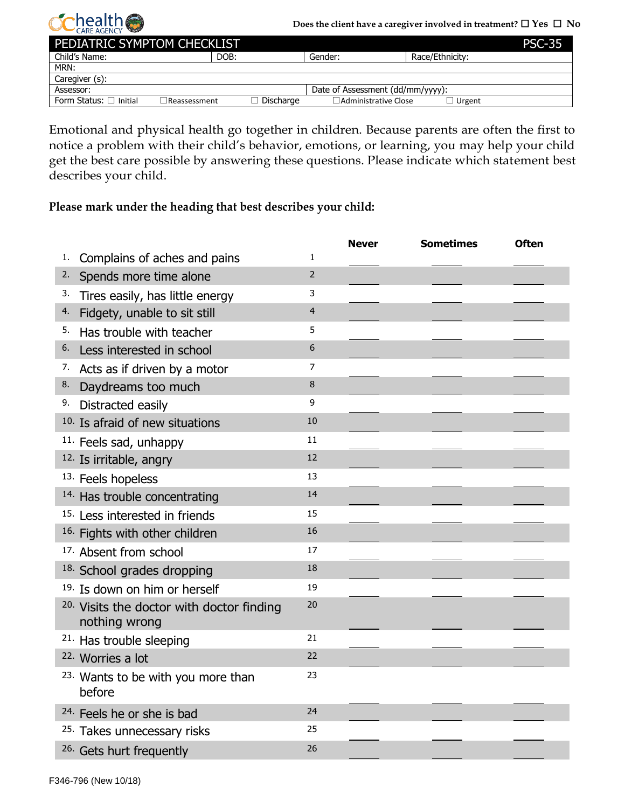

| PEDIATRIC SYMPTOM CHECKLIST<br><b>PSC-35</b> |                     |                  |                                  |                 |  |  |
|----------------------------------------------|---------------------|------------------|----------------------------------|-----------------|--|--|
| Child's Name:                                | DOB:                |                  | Gender:                          | Race/Ethnicity: |  |  |
| MRN:                                         |                     |                  |                                  |                 |  |  |
| Caregiver (s):                               |                     |                  |                                  |                 |  |  |
| Assessor:                                    |                     |                  | Date of Assessment (dd/mm/yyyy): |                 |  |  |
| Form Status: $\Box$ Initial                  | $\Box$ Reassessment | $\Box$ Discharge | $\Box$ Administrative Close      | $\Box$ Urgent   |  |  |

Emotional and physical health go together in children. Because parents are often the first to notice a problem with their child's behavior, emotions, or learning, you may help your child get the best care possible by answering these questions. Please indicate which statement best describes your child.

**Please mark under the heading that best describes your child:**

|    |                                                                       |                | <b>Never</b> | <b>Sometimes</b> | <b>Often</b> |
|----|-----------------------------------------------------------------------|----------------|--------------|------------------|--------------|
| 1. | Complains of aches and pains                                          | $\mathbf{1}$   |              |                  |              |
| 2. | Spends more time alone                                                | $\overline{2}$ |              |                  |              |
| 3. | Tires easily, has little energy                                       | 3              |              |                  |              |
| 4. | Fidgety, unable to sit still                                          | $\overline{4}$ |              |                  |              |
| 5. | Has trouble with teacher                                              | 5              |              |                  |              |
| 6. | Less interested in school                                             | 6              |              |                  |              |
| 7. | Acts as if driven by a motor                                          | $\overline{7}$ |              |                  |              |
| 8. | Daydreams too much                                                    | 8              |              |                  |              |
| 9. | Distracted easily                                                     | 9              |              |                  |              |
|    | <sup>10.</sup> Is afraid of new situations                            | 10             |              |                  |              |
|    | <sup>11.</sup> Feels sad, unhappy                                     | 11             |              |                  |              |
|    | <sup>12.</sup> Is irritable, angry                                    | 12             |              |                  |              |
|    | 13. Feels hopeless                                                    | 13             |              |                  |              |
|    | <sup>14.</sup> Has trouble concentrating                              | 14             |              |                  |              |
|    | <sup>15.</sup> Less interested in friends                             | 15             |              |                  |              |
|    | <sup>16.</sup> Fights with other children                             | 16             |              |                  |              |
|    | <sup>17.</sup> Absent from school                                     | 17             |              |                  |              |
|    | <sup>18.</sup> School grades dropping                                 | 18             |              |                  |              |
|    | <sup>19.</sup> Is down on him or herself                              | 19             |              |                  |              |
|    | <sup>20.</sup> Visits the doctor with doctor finding<br>nothing wrong | 20             |              |                  |              |
|    | <sup>21.</sup> Has trouble sleeping                                   | 21             |              |                  |              |
|    | <sup>22.</sup> Worries a lot                                          | 22             |              |                  |              |
|    | <sup>23.</sup> Wants to be with you more than<br>before               | 23             |              |                  |              |
|    | <sup>24.</sup> Feels he or she is bad                                 | 24             |              |                  |              |
|    | <sup>25.</sup> Takes unnecessary risks                                | 25             |              |                  |              |
|    | <sup>26.</sup> Gets hurt frequently                                   | 26             |              |                  |              |